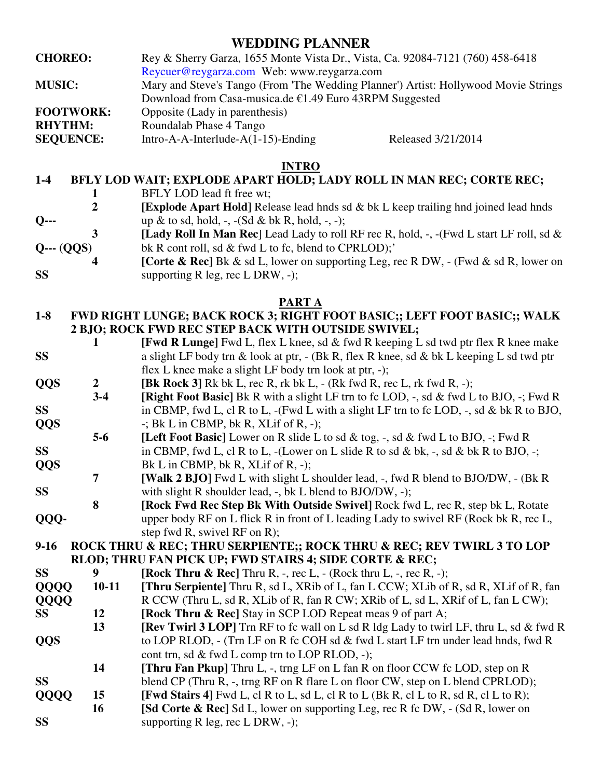# **WEDDING PLANNER**

**CHOREO:** Rey & Sherry Garza, 1655 Monte Vista Dr., Vista, Ca. 92084-7121 (760) 458-6418 Reycuer@reygarza.com Web: www.reygarza.com **MUSIC:** Mary and Steve's Tango (From 'The Wedding Planner') Artist: Hollywood Movie Strings Download from Casa-musica.de €1.49 Euro 43RPM Suggested **FOOTWORK:** Opposite (Lady in parenthesis) **RHYTHM:** Roundalab Phase 4 Tango

**SEQUENCE:** Intro-A-A-Interlude-A(1-15)-Ending Released 3/21/2014

#### **INTRO**

## **1-4 BFLY LOD WAIT; EXPLODE APART HOLD; LADY ROLL IN MAN REC; CORTE REC;**

- **1 BFLY LOD lead ft free wt;**<br>**2 IExplode Apart Hold** Rele
- **[Explode Apart Hold]** Release lead hnds sd & bk L keep trailing hnd joined lead hnds **Q--- up** & to sd, hold, -, -(Sd & bk R, hold, -, -);
- **3 [Lady Roll In Man Rec**] Lead Lady to roll RF rec R, hold, -, -(Fwd L start LF roll, sd & **Q--- (QQS)** bk R cont roll, sd & fwd L to fc, blend to CPRLOD);'
- **4 ICorte & Rec**] Bk & sd L, lower on supporting Leg, rec R DW, (Fwd & sd R, lower on **SS** supporting R leg, rec L DRW, -);

#### **PART A**

- **1-8 FWD RIGHT LUNGE; BACK ROCK 3; RIGHT FOOT BASIC;; LEFT FOOT BASIC;; WALK 2 BJO; ROCK FWD REC STEP BACK WITH OUTSIDE SWIVEL;**
- **1 [Fwd R Lunge]** Fwd L, flex L knee, sd & fwd R keeping L sd twd ptr flex R knee make **SS** a slight LF body trn & look at ptr, - (Bk R, flex R knee, sd & bk L keeping L sd twd ptr flex L knee make a slight LF body trn look at ptr, -);
- **QQS** 2 [Bk Rock 3] Rk bk L, rec R, rk bk L, (Rk fwd R, rec L, rk fwd R, -);
- **3-4 [Right Foot Basic]** Bk R with a slight LF trn to fc LOD, -, sd & fwd L to BJO, -; Fwd R **SS** in CBMP, fwd L, cl R to L, -(Fwd L with a slight LF trn to fc LOD, -, sd & bk R to BJO, **QQS** -; Bk L in CBMP, bk R, XLif of R, -);
- **5-6 [Left Foot Basic]** Lower on R slide L to sd & tog, -, sd & fwd L to BJO, -; Fwd R **SS** in CBMP, fwd L, cl R to L, -(Lower on L slide R to sd & bk, -, sd & bk R to BJO, -;
- **QQS** Bk L in CBMP, bk R, XLif of R, -);
- **7 [Walk 2 BJO]** Fwd L with slight L shoulder lead, -, fwd R blend to BJO/DW, (Bk R **SS** with slight R shoulder lead, -, bk L blend to BJO/DW, -);
- **8 [Rock Fwd Rec Step Bk With Outside Swivel]** Rock fwd L, rec R, step bk L, Rotate **QQQ-** upper body RF on L flick R in front of L leading Lady to swivel RF (Rock bk R, rec L, step fwd R, swivel RF on R);

#### **9-16 ROCK THRU & REC; THRU SERPIENTE;; ROCK THRU & REC; REV TWIRL 3 TO LOP RLOD; THRU FAN PICK UP; FWD STAIRS 4; SIDE CORTE & REC;**

| <b>SS</b>   | 9       | [Rock Thru & Rec] Thru R, -, rec L, - (Rock thru L, -, rec R, -);                             |
|-------------|---------|-----------------------------------------------------------------------------------------------|
| QQQQ        | $10-11$ | [Thru Serpiente] Thru R, sd L, XRib of L, fan L CCW; XLib of R, sd R, XLif of R, fan          |
| <b>QQQQ</b> |         | R CCW (Thru L, sd R, XLib of R, fan R CW; XRib of L, sd L, XRif of L, fan L CW);              |
| SS          | 12      | <b>[Rock Thru &amp; Rec]</b> Stay in SCP LOD Repeat meas 9 of part A;                         |
|             | 13      | <b>[Rev Twirl 3 LOP]</b> Trn RF to fc wall on L sd R ldg Lady to twirl LF, thru L, sd & fwd R |
| <b>QQS</b>  |         | to LOP RLOD, - (Trn LF on R fc COH sd & fwd L start LF trn under lead hnds, fwd R             |
|             |         | cont trn, sd $\&$ fwd L comp trn to LOP RLOD, -);                                             |
|             | 14      | <b>[Thru Fan Pkup]</b> Thru L, -, trng LF on L fan R on floor CCW fc LOD, step on R           |
| <b>SS</b>   |         | blend CP (Thru R, -, trng RF on R flare L on floor CW, step on L blend CPRLOD);               |
| QQQQ        | 15      | [Fwd Stairs 4] Fwd L, cl R to L, sd L, cl R to L (Bk R, cl L to R, sd R, cl L to R);          |
|             | 16      | <b>[Sd Corte &amp; Rec]</b> Sd L, lower on supporting Leg, rec R fc DW, - (Sd R, lower on     |
| <b>SS</b>   |         | supporting $R$ leg, rec $L$ DRW, $-$ );                                                       |